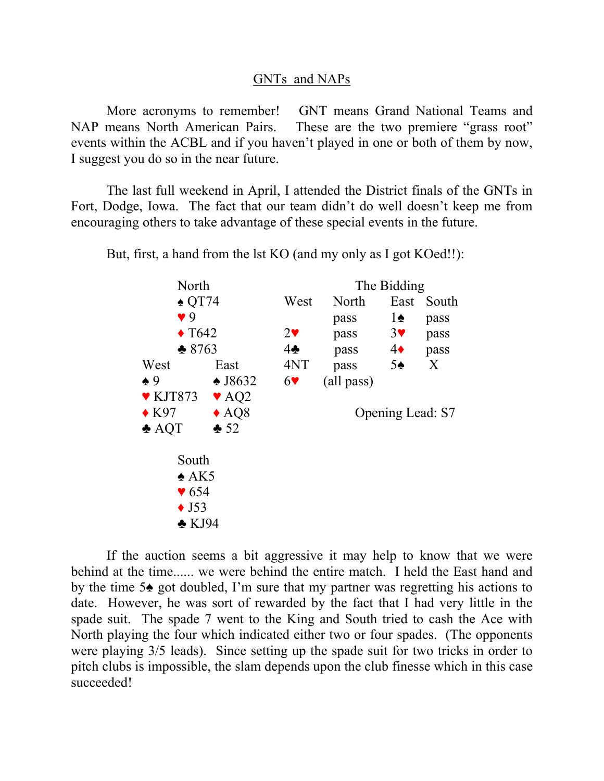## GNTs and NAPs

 More acronyms to remember! GNT means Grand National Teams and NAP means North American Pairs. These are the two premiere "grass root" events within the ACBL and if you haven't played in one or both of them by now, I suggest you do so in the near future.

The last full weekend in April, I attended the District finals of the GNTs in Fort, Dodge, Iowa. The fact that our team didn't do well doesn't keep me from encouraging others to take advantage of these special events in the future.

North The Bidding ♠ QT74 West North East South  $\sqrt{9}$  pass 1 $\triangle$  pass  $\sqrt{1642}$  2 $\sqrt{29}$  pass 3 $\sqrt{9}$  pass  $\triangle$  8763 4 $\triangle$  pass 4 $\triangle$  pass West East 4NT pass 5♠ X  $\triangle 9$   $\triangle$  J8632 6 $\triangledown$  (all pass)  $\blacktriangledown$  KJT873  $\blacktriangledown$  AQ2 ♦ K97 ♦ AQ8 Opening Lead: S7  $\triangle$  AOT  $\triangle$  52 South  $\triangle$  AK5  $\blacktriangledown$  654  $\blacklozenge$  J53 ♣ KJ94

But, first, a hand from the lst KO (and my only as I got KOed!!):

 If the auction seems a bit aggressive it may help to know that we were behind at the time...... we were behind the entire match. I held the East hand and by the time 5♠ got doubled, I'm sure that my partner was regretting his actions to date. However, he was sort of rewarded by the fact that I had very little in the spade suit. The spade 7 went to the King and South tried to cash the Ace with North playing the four which indicated either two or four spades. (The opponents were playing 3/5 leads). Since setting up the spade suit for two tricks in order to pitch clubs is impossible, the slam depends upon the club finesse which in this case succeeded!